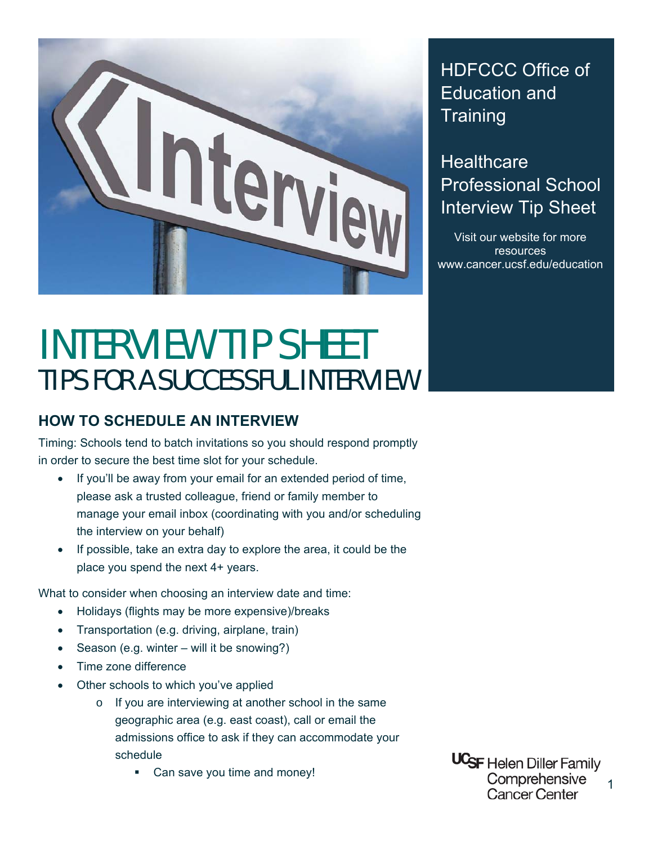

## HDFCCC Office of Education and **Training**

**Healthcare** Professional School Interview Tip Sheet

Visit our website for more resources www.cancer.ucsf.edu/education

## INTERVIEW TIP SHEET TIPS FOR A SUCCESSFUL INTERVIEW

## **HOW TO SCHEDULE AN INTERVIEW**

Timing: Schools tend to batch invitations so you should respond promptly in order to secure the best time slot for your schedule.

- If you'll be away from your email for an extended period of time, please ask a trusted colleague, friend or family member to manage your email inbox (coordinating with you and/or scheduling the interview on your behalf)
- If possible, take an extra day to explore the area, it could be the place you spend the next 4+ years.

What to consider when choosing an interview date and time:

- Holidays (flights may be more expensive)/breaks
- Transportation (e.g. driving, airplane, train)
- Season (e.g. winter will it be snowing?)
- Time zone difference
- Other schools to which you've applied
	- o If you are interviewing at another school in the same geographic area (e.g. east coast), call or email the admissions office to ask if they can accommodate your schedule
		- Can save you time and money!

**UCSF** Helen Diller Family Comprehensive Cancer Center

1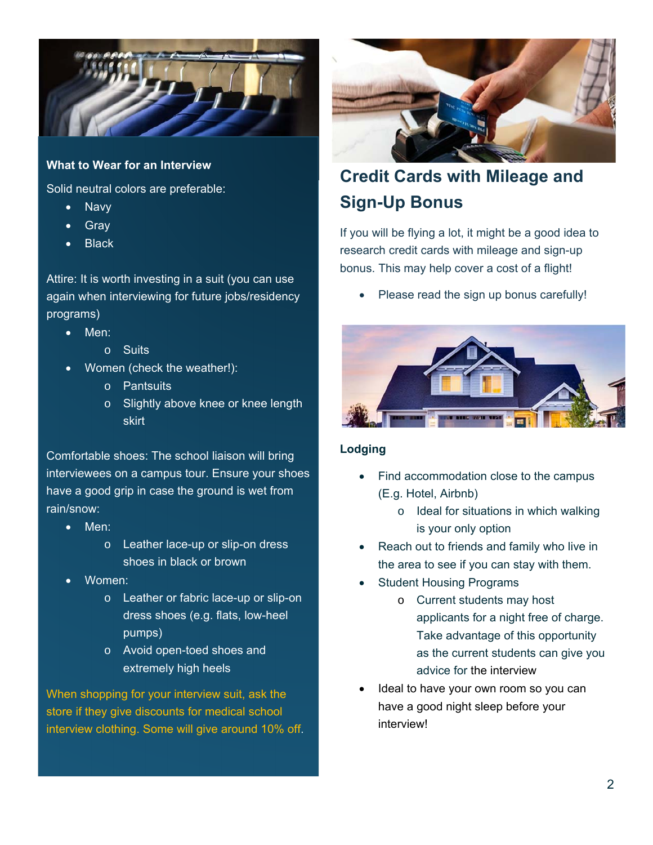

#### **What to Wear for an Interview**

Solid neutral colors are preferable:

- **Navy**
- Gray
- **Black**

Attire: It is worth investing in a suit (you can use again when interviewing for future jobs/residency programs)

- Men:
	- o Suits
	- Women (check the weather!):
		- o Pantsuits
		- o Slightly above knee or knee length skirt

Comfortable shoes: The school liaison will bring interviewees on a campus tour. Ensure your shoes have a good grip in case the ground is wet from rain/snow:

- Men:
	- o Leather lace-up or slip-on dress shoes in black or brown
- Women:
	- o Leather or fabric lace-up or slip-on dress shoes (e.g. flats, low-heel pumps)
	- o Avoid open-toed shoes and extremely high heels

When shopping for your interview suit, ask the store if they give discounts for medical school interview clothing. Some will give around 10% off.



## **Credit Cards with Mileage and Sign-Up Bonus**

If you will be flying a lot, it might be a good idea to research credit cards with mileage and sign-up bonus. This may help cover a cost of a flight!

Please read the sign up bonus carefully!



#### **Lodging**

- Find accommodation close to the campus (E.g. Hotel, Airbnb)
	- o Ideal for situations in which walking is your only option
- Reach out to friends and family who live in the area to see if you can stay with them.
- Student Housing Programs
	- o Current students may host applicants for a night free of charge. Take advantage of this opportunity as the current students can give you advice for the interview
- Ideal to have your own room so you can have a good night sleep before your interview!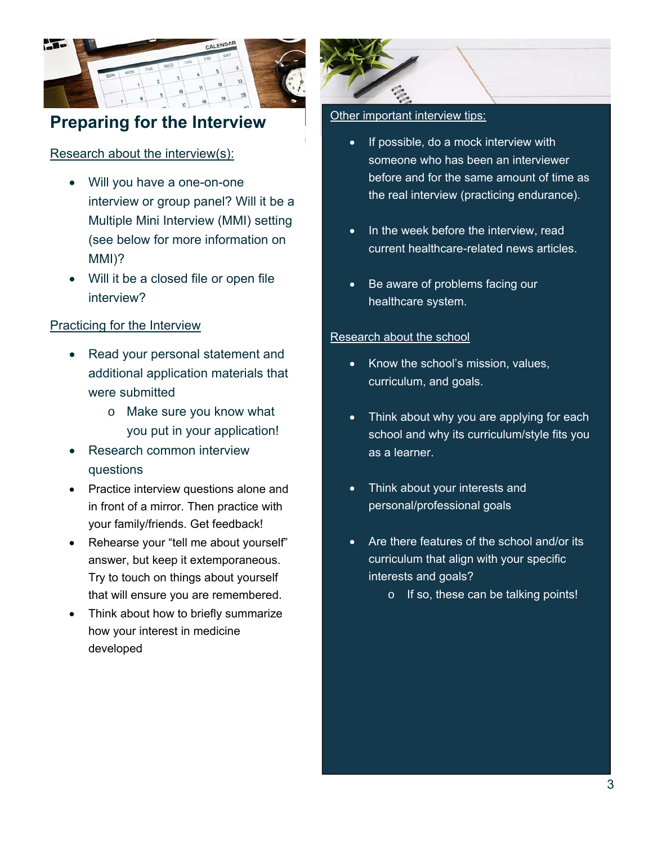

## **Preparing for the Interview**

#### Research about the interview(s):

- Will you have a one-on-one interview or group panel? Will it be a Multiple Mini Interview (MMI) setting (see below for more information on MMI)?
- Will it be a closed file or open file interview?

#### Practicing for the Interview

- Read your personal statement and additional application materials that were submitted
	- o Make sure you know what you put in your application!
- Research common interview questions
- Practice interview questions alone and in front of a mirror. Then practice with your family/friends. Get feedback!
- Rehearse your "tell me about yourself" answer, but keep it extemporaneous. Try to touch on things about yourself that will ensure you are remembered.
- Think about how to briefly summarize how your interest in medicine developed



#### Other important interview tips:

- If possible, do a mock interview with someone who has been an interviewer before and for the same amount of time as the real interview (practicing endurance).
- In the week before the interview, read current healthcare-related news articles.
- Be aware of problems facing our healthcare system.

#### Research about the school

- Know the school's mission, values, curriculum, and goals.
- Think about why you are applying for each school and why its curriculum/style fits you as a learner.
- Think about your interests and personal/professional goals
- Are there features of the school and/or its curriculum that align with your specific interests and goals?
	- o If so, these can be talking points!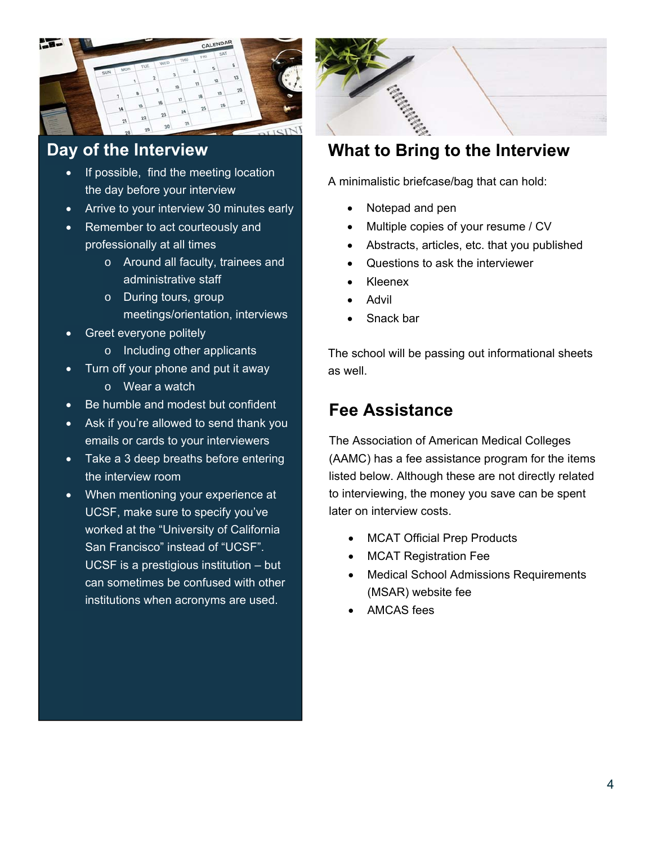

### **Day of the Interview**

- If possible, find the meeting location the day before your interview
- Arrive to your interview 30 minutes early
- Remember to act courteously and professionally at all times
	- o Around all faculty, trainees and administrative staff
	- o During tours, group meetings/orientation, interviews
- Greet everyone politely
	- o Including other applicants
- Turn off your phone and put it away
	- o Wear a watch
- Be humble and modest but confident
- Ask if you're allowed to send thank you emails or cards to your interviewers
- Take a 3 deep breaths before entering the interview room
- When mentioning your experience at UCSF, make sure to specify you've worked at the "University of California San Francisco" instead of "UCSF". UCSF is a prestigious institution – but can sometimes be confused with other institutions when acronyms are used.



## **What to Bring to the Interview**

A minimalistic briefcase/bag that can hold:

- Notepad and pen
- Multiple copies of your resume / CV
- Abstracts, articles, etc. that you published
- Questions to ask the interviewer
- Kleenex
- Advil
- Snack bar

The school will be passing out informational sheets as well.

## **Fee Assistance**

The Association of American Medical Colleges (AAMC) has a fee assistance program for the items listed below. Although these are not directly related to interviewing, the money you save can be spent later on interview costs.

- MCAT Official Prep Products
- MCAT Registration Fee
- Medical School Admissions Requirements (MSAR) website fee
- AMCAS fees